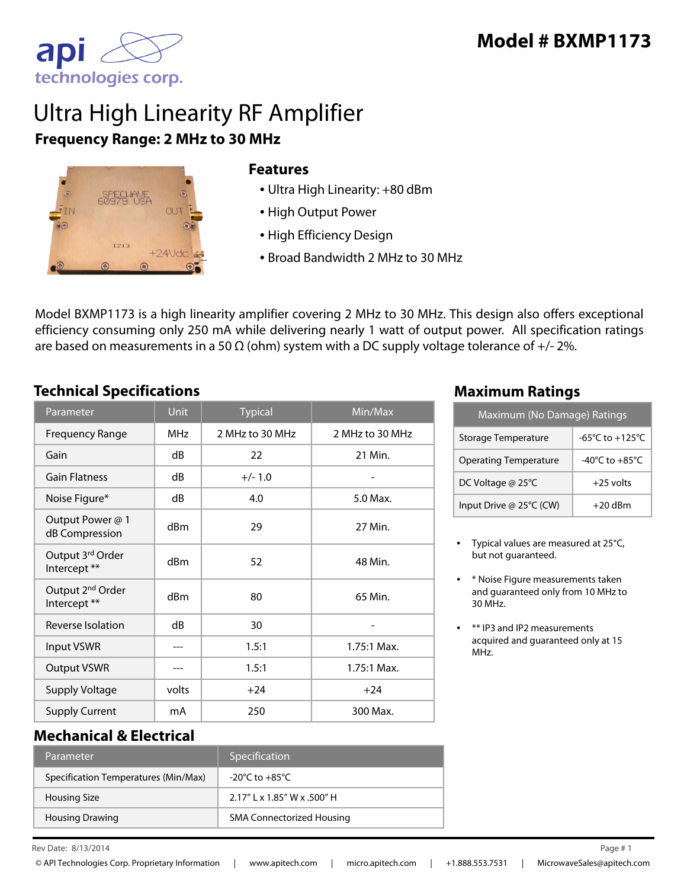

# Ultra High Linearity RF Amplifier **Frequency Range: 2 MHz to 30 MHz**



#### **Features**

- Ultra High Linearity: +80 dBm
- High Output Power
- High Efficiency Design
- Broad Bandwidth 2 MHz to 30 MHz

Model BXMP1173 is a high linearity amplifier covering 2 MHz to 30 MHz. This design also offers exceptional efficiency consuming only 250 mA while delivering nearly 1 watt of output power. All specification ratings are based on measurements in a 50  $\Omega$  (ohm) system with a DC supply voltage tolerance of +/- 2%.

### **Technical Specifications Maximum Ratings**

| Parameter                                    | <b>Unit</b>     | <b>Typical</b>  | Min/Max         |
|----------------------------------------------|-----------------|-----------------|-----------------|
| <b>Frequency Range</b>                       | MH <sub>7</sub> | 2 MHz to 30 MHz | 2 MHz to 30 MHz |
| Gain                                         | dB              | 22              | 21 Min.         |
| <b>Gain Flatness</b>                         | dB              | $+/- 1.0$       |                 |
| Noise Figure*                                | dB              | 4.0             | 5.0 Max.        |
| Output Power @ 1<br>dB Compression           | dBm             | 29              | 27 Min.         |
| Output 3rd Order<br>Intercept **             | dBm             | 52              | 48 Min.         |
| Output 2 <sup>nd</sup> Order<br>Intercept ** | dBm             | 80              | 65 Min.         |
| Reverse Isolation                            | dB              | 30              |                 |
| Input VSWR                                   |                 | 1.5:1           | $1.75:1$ Max.   |
| <b>Output VSWR</b>                           |                 | 1.5:1           | 1.75:1 Max.     |
| <b>Supply Voltage</b>                        | volts           | $+24$           | $+24$           |
| <b>Supply Current</b>                        | mA              | 250             | 300 Max.        |

| Maximum (No Damage) Ratings  |                                      |  |  |
|------------------------------|--------------------------------------|--|--|
| Storage Temperature          | -65°C to +125°C                      |  |  |
| <b>Operating Temperature</b> | -40 $^{\circ}$ C to +85 $^{\circ}$ C |  |  |
| DC Voltage @ 25°C            | $+25$ volts                          |  |  |
| Input Drive @ 25°C (CW)      | $+20$ dBm                            |  |  |

- Typical values are measured at 25°C, but not guaranteed.
- \* Noise Figure measurements taken and guaranteed only from 10 MHz to 30 MHz.
- \*\* IP3 and IP2 measurements acquired and guaranteed only at 15 MHz.

#### **Mechanical & Electrical**

| <b>Parameter</b>                     | Specification                    |
|--------------------------------------|----------------------------------|
| Specification Temperatures (Min/Max) | -20°C to $+85^{\circ}$ C         |
| <b>Housing Size</b>                  | $2.17''$ k 1.85" W x .500" H     |
| <b>Housing Drawing</b>               | <b>SMA Connectorized Housing</b> |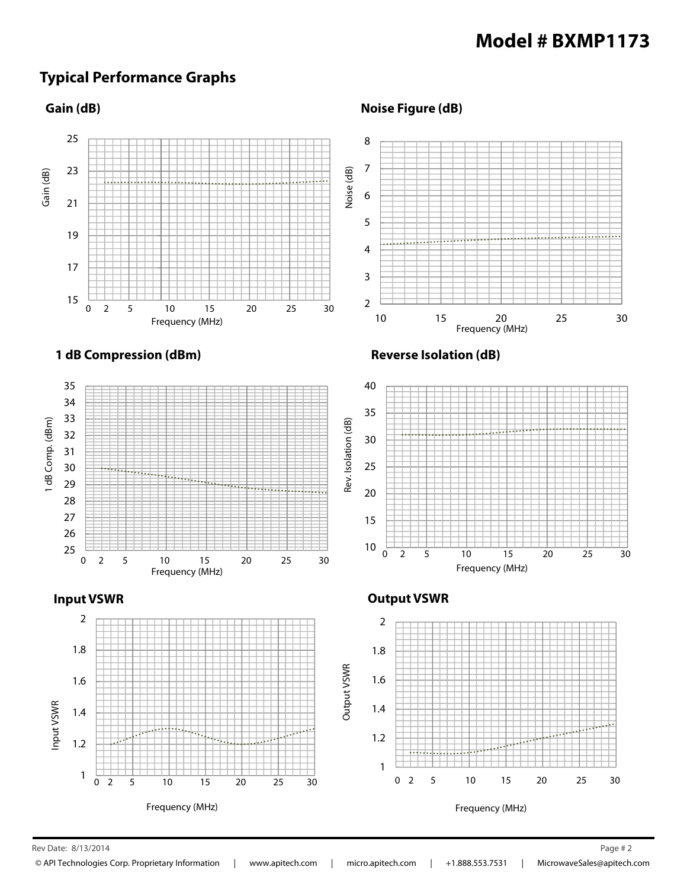### **Typical Performance Graphs**

#### **Gain (dB)**

**Noise Figure (dB)**



 $\mathsf{Rev}\,\mathsf{Date:}\;8/13/2014$  Page # 2